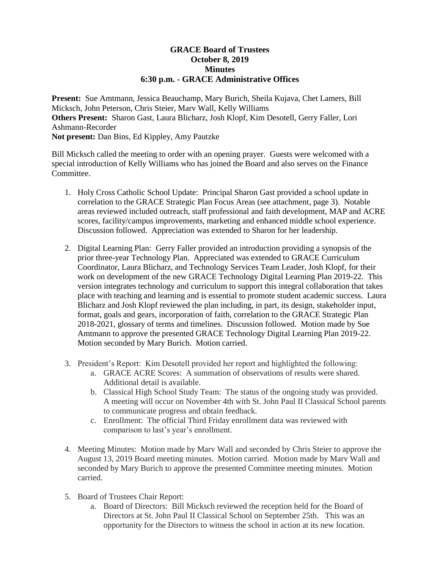# **GRACE Board of Trustees October 8, 2019 Minutes 6:30 p.m. - GRACE Administrative Offices**

**Present:** Sue Amtmann, Jessica Beauchamp, Mary Burich, Sheila Kujava, Chet Lamers, Bill Micksch, John Peterson, Chris Steier, Marv Wall, Kelly Williams **Others Present:** Sharon Gast, Laura Blicharz, Josh Klopf, Kim Desotell, Gerry Faller, Lori Ashmann-Recorder **Not present:** Dan Bins, Ed Kippley, Amy Pautzke

Bill Micksch called the meeting to order with an opening prayer. Guests were welcomed with a special introduction of Kelly Williams who has joined the Board and also serves on the Finance Committee.

- 1. Holy Cross Catholic School Update: Principal Sharon Gast provided a school update in correlation to the GRACE Strategic Plan Focus Areas (see attachment, page 3). Notable areas reviewed included outreach, staff professional and faith development, MAP and ACRE scores, facility/campus improvements, marketing and enhanced middle school experience. Discussion followed. Appreciation was extended to Sharon for her leadership.
- 2. Digital Learning Plan: Gerry Faller provided an introduction providing a synopsis of the prior three-year Technology Plan. Appreciated was extended to GRACE Curriculum Coordinator, Laura Blicharz, and Technology Services Team Leader, Josh Klopf, for their work on development of the new GRACE Technology Digital Learning Plan 2019-22. This version integrates technology and curriculum to support this integral collaboration that takes place with teaching and learning and is essential to promote student academic success. Laura Blicharz and Josh Klopf reviewed the plan including, in part, its design, stakeholder input, format, goals and gears, incorporation of faith, correlation to the GRACE Strategic Plan 2018-2021, glossary of terms and timelines. Discussion followed. Motion made by Sue Amtmann to approve the presented GRACE Technology Digital Learning Plan 2019-22. Motion seconded by Mary Burich. Motion carried.
- 3. President's Report: Kim Desotell provided her report and highlighted the following:
	- a. GRACE ACRE Scores: A summation of observations of results were shared. Additional detail is available.
	- b. Classical High School Study Team: The status of the ongoing study was provided. A meeting will occur on November 4th with St. John Paul II Classical School parents to communicate progress and obtain feedback.
	- c. Enrollment: The official Third Friday enrollment data was reviewed with comparison to last's year's enrollment.
- 4. Meeting Minutes: Motion made by Marv Wall and seconded by Chris Steier to approve the August 13, 2019 Board meeting minutes. Motion carried. Motion made by Marv Wall and seconded by Mary Burich to approve the presented Committee meeting minutes. Motion carried.
- 5. Board of Trustees Chair Report:
	- a. Board of Directors: Bill Micksch reviewed the reception held for the Board of Directors at St. John Paul II Classical School on September 25th. This was an opportunity for the Directors to witness the school in action at its new location.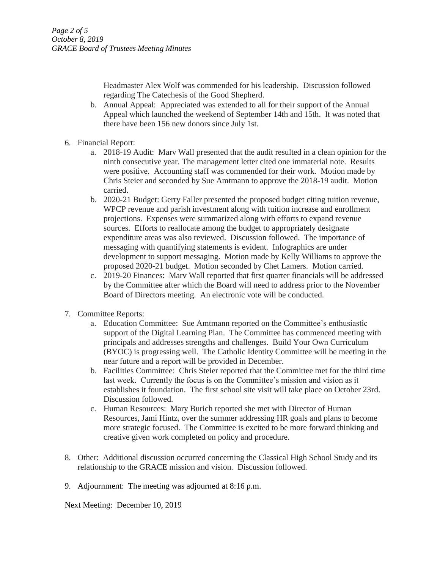Headmaster Alex Wolf was commended for his leadership. Discussion followed regarding The Catechesis of the Good Shepherd.

- b. Annual Appeal: Appreciated was extended to all for their support of the Annual Appeal which launched the weekend of September 14th and 15th. It was noted that there have been 156 new donors since July 1st.
- 6. Financial Report:
	- a. 2018-19 Audit: Marv Wall presented that the audit resulted in a clean opinion for the ninth consecutive year. The management letter cited one immaterial note. Results were positive. Accounting staff was commended for their work. Motion made by Chris Steier and seconded by Sue Amtmann to approve the 2018-19 audit. Motion carried.
	- b. 2020-21 Budget: Gerry Faller presented the proposed budget citing tuition revenue, WPCP revenue and parish investment along with tuition increase and enrollment projections. Expenses were summarized along with efforts to expand revenue sources. Efforts to reallocate among the budget to appropriately designate expenditure areas was also reviewed. Discussion followed. The importance of messaging with quantifying statements is evident. Infographics are under development to support messaging. Motion made by Kelly Williams to approve the proposed 2020-21 budget. Motion seconded by Chet Lamers. Motion carried.
	- c. 2019-20 Finances: Marv Wall reported that first quarter financials will be addressed by the Committee after which the Board will need to address prior to the November Board of Directors meeting. An electronic vote will be conducted.
- 7. Committee Reports:
	- a. Education Committee: Sue Amtmann reported on the Committee's enthusiastic support of the Digital Learning Plan. The Committee has commenced meeting with principals and addresses strengths and challenges. Build Your Own Curriculum (BYOC) is progressing well. The Catholic Identity Committee will be meeting in the near future and a report will be provided in December.
	- b. Facilities Committee: Chris Steier reported that the Committee met for the third time last week. Currently the focus is on the Committee's mission and vision as it establishes it foundation. The first school site visit will take place on October 23rd. Discussion followed.
	- c. Human Resources: Mary Burich reported she met with Director of Human Resources, Jami Hintz, over the summer addressing HR goals and plans to become more strategic focused. The Committee is excited to be more forward thinking and creative given work completed on policy and procedure.
- 8. Other: Additional discussion occurred concerning the Classical High School Study and its relationship to the GRACE mission and vision. Discussion followed.
- 9. Adjournment: The meeting was adjourned at 8:16 p.m.

Next Meeting: December 10, 2019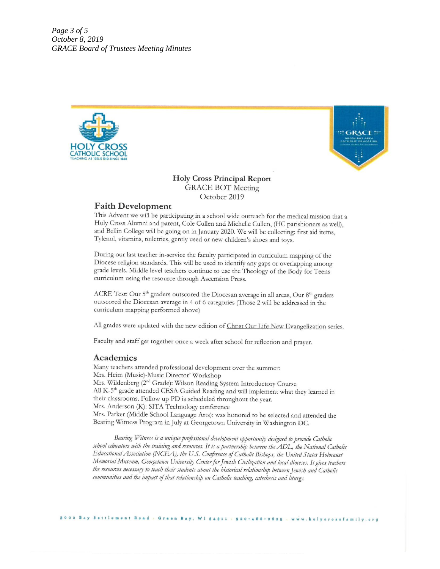Page 3 of 5 October 8, 2019 **GRACE Board of Trustees Meeting Minutes** 





# **Holy Cross Principal Report GRACE BOT Meeting** October 2019

# **Faith Development**

This Advent we will be participating in a school wide outreach for the medical mission that a Holy Cross Alumni and parent, Cole Cullen and Michelle Cullen, (HC parishioners as well), and Bellin College will be going on in January 2020. We will be collecting: first aid items, Tylenol, vitamins, toiletries, gently used or new children's shoes and toys.

During our last teacher in-service the faculty participated in curriculum mapping of the Diocese religion standards. This will be used to identify any gaps or overlapping among grade levels. Middle level teachers continue to use the Theology of the Body for Teens curriculum using the resource through Ascension Press.

ACRE Test: Our 5<sup>th</sup> graders outscored the Diocesan average in all areas, Our 8<sup>th</sup> graders outscored the Diocesan average in 4 of 6 categories (Those 2 will be addressed in the curriculum mapping performed above)

All grades were updated with the new edition of Christ Our Life New Evangelization series.

Faculty and staff get together once a week after school for reflection and prayer.

### Academics

Many teachers attended professional development over the summer: Mrs. Heim (Music)-Music Director' Workshop Mrs. Wildenberg (2<sup>nd</sup> Grade): Wilson Reading System Introductory Course All K-5<sup>th</sup> grade attended CESA Guided Reading and will implement what they learned in their classrooms. Follow up PD is scheduled throughout the year. Mrs. Anderson (K): SITA Technology conference Mrs. Parker (Middle School Language Arts): was honored to be selected and attended the Bearing Witness Program in July at Georgetown University in Washington DC.

Bearing Witness is a unique professional development opportunity designed to provide Catholic school educators with the training and resources. It is a partnership between the ADL, the National Catholic Educational Association (NCEA), the U.S. Conference of Catholic Bishops, the United States Holocaust Memorial Museum, Georgetown University Center for Jewish Civilization and local dioceses. It gives teachers the resources necessary to teach their students about the historical relationship between Jewish and Catholic communities and the impact of that relationship on Catholic teaching, catechesis and liturgy.

Green Bay, WI 54311 - 920-468-0625 - www.holycrossfamily.org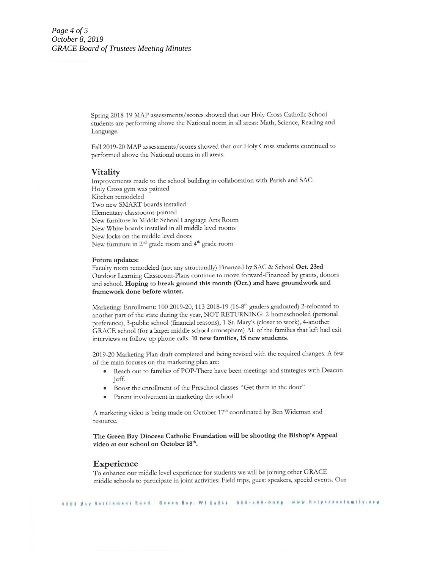Spring 2018-19 MAP assessments/scores showed that our Holy Cross Catholic School students are performing above the National norm in all areas: Math, Science, Reading and Language.

Fall 2019-20 MAP assessments/scores showed that our Holy Cross students continued to performed above the National norms in all areas.

### **Vitality**

Improvements made to the school building in collaboration with Parish and SAC: Holy Cross gym was painted Kitchen remodeled Two new SMART boards installed Elementary classrooms painted New furniture in Middle School Language Arts Room New White boards installed in all middle level rooms New locks on the middle level doors New furniture in 2<sup>nd</sup> grade room and 4<sup>th</sup> grade room

#### Future updates:

Faculty room remodeled (not any structurally) Financed by SAC & School Oct. 23rd Outdoor Learning Classroom-Plans continue to move forward-Financed by grants, donors and school. Hoping to break ground this month (Oct.) and have groundwork and framework done before winter.

Marketing: Enrollment: 100 2019-20, 113 2018-19 (16-8<sup>th</sup> graders graduated) 2-relocated to another part of the state during the year, NOT RETURNING: 2-homeschooled (personal preference), 3-public school (financial reasons), 1-St. Mary's (closer to work), 4-another GRACE school (for a larger middle school atmosphere) All of the families that left had exit interviews or follow up phone calls. 10 new families, 15 new students.

2019-20 Marketing Plan draft completed and being revised with the required changes. A few of the main focuses on the marketing plan are:

- Reach out to families of POP-There have been meetings and strategies with Deacon Teff.
- Boost the enrollment of the Preschool classes-"Get them in the door"  $\bullet$
- Parent involvement in marketing the school

A marketing video is being made on October 17th coordinated by Ben Wideman and resource.

The Green Bay Diocese Catholic Foundation will be shooting the Bishop's Appeal video at our school on October 18th.

#### **Experience**

To enhance our middle level experience for students we will be joining other GRACE middle schools to participate in joint activities: Field trips, guest speakers, special events. Our

Www.holyerossfamily.org jöä Bay Settlement Read